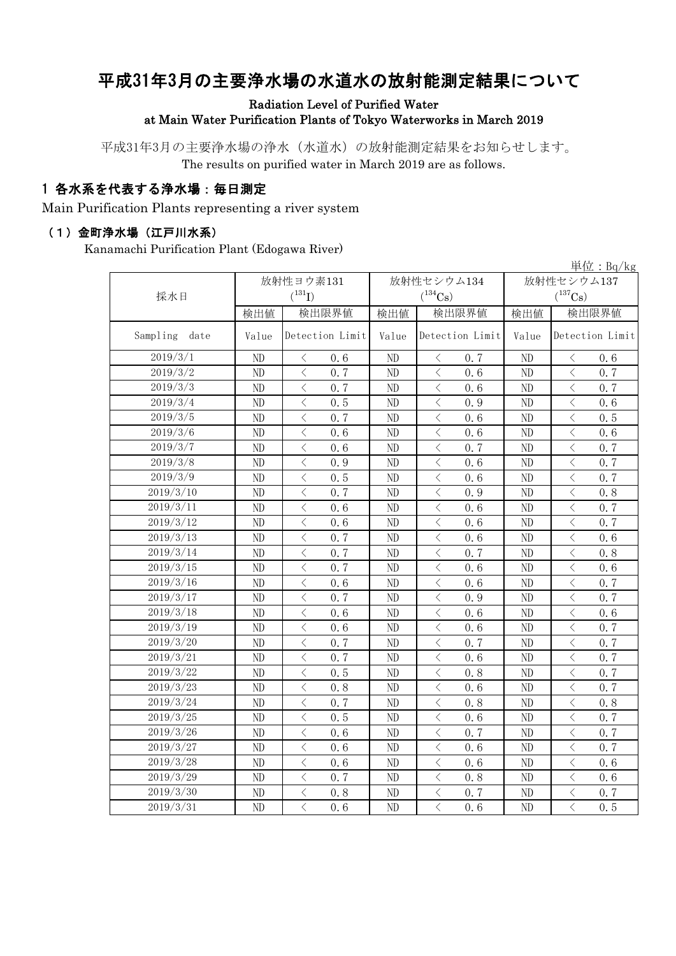# 平成31年3月の主要浄水場の水道水の放射能測定結果について

#### Radiation Level of Purified Water at Main Water Purification Plants of Tokyo Waterworks in March 2019

平成31年3月の主要浄水場の浄水(水道水)の放射能測定結果をお知らせします。 The results on purified water in March 2019 are as follows.

### 1 各水系を代表する浄水場:毎日測定

Main Purification Plants representing a river system

#### (1)金町浄水場(江戸川水系)

Kanamachi Purification Plant (Edogawa River)

|                  |           |                                                 |                          |                                                  |            | 単位: $Bq/kg$                                      |  |
|------------------|-----------|-------------------------------------------------|--------------------------|--------------------------------------------------|------------|--------------------------------------------------|--|
|                  | 放射性ヨウ素131 |                                                 |                          | 放射性セシウム134                                       | 放射性セシウム137 |                                                  |  |
| 採水日              |           | $(^{131}I)$                                     |                          | $(^{134}Cs)$                                     |            | $(^{137}\mathrm{Cs})$                            |  |
|                  | 検出値       | 検出限界値                                           | 検出値                      | 検出限界値                                            | 検出値        | 検出限界値                                            |  |
| Sampling<br>date | Value     | Detection Limit                                 | Detection Limit<br>Value |                                                  | Value      | Detection Limit                                  |  |
| 2019/3/1         | ND        | $\, <\,$<br>0.6                                 | ND                       | $\, <\,$<br>0.7                                  | ND         | $\lt$<br>0.6                                     |  |
| 2019/3/2         | ND        | $\langle$<br>0.7                                | ND                       | $\langle$<br>0.6                                 | ND         | $\langle$<br>0.7                                 |  |
| 2019/3/3         | ND        | $\langle$<br>0.7                                | ND                       | $\langle$<br>0.6                                 | ND         | $\langle$<br>0.7                                 |  |
| 2019/3/4         | ND        | $\langle$<br>0.5                                | ND                       | $\langle$<br>0.9                                 | ND         | $\lt$<br>0.6                                     |  |
| 2019/3/5         | ND        | $\lt$<br>0, 7                                   | ND                       | $\, \zeta \,$<br>0.6                             | ND         | $\langle$<br>0.5                                 |  |
| 2019/3/6         | ND        | $\lt$<br>0.6                                    | ND                       | $\lt$<br>0.6                                     | ND         | $\langle$<br>0, 6                                |  |
| 2019/3/7         | ND        | $\langle$<br>0.6                                | ND                       | $\langle$<br>0.7                                 | ND         | $\langle$<br>0.7                                 |  |
| 2019/3/8         | ND        | $\lt$<br>0.9                                    | ND                       | $\, \zeta \,$<br>0, 6                            | ND         | $\langle$<br>0, 7                                |  |
| 2019/3/9         | ND        | $\lt$<br>0.5                                    | ND                       | $\lt$<br>0.6                                     | ND         | $\lt$<br>0.7                                     |  |
| 2019/3/10        | ND        | $\lt$<br>0.7                                    | ND                       | $\lt$<br>0.9                                     | ND         | $\langle$<br>0.8                                 |  |
| 2019/3/11        | ND        | $\hspace{0.1cm}\diagdown\hspace{0.1cm}$<br>0.6  | ND                       | $\langle$<br>0.6                                 | ND         | $\langle$<br>0.7                                 |  |
| 2019/3/12        | ND        | $\lt$<br>0.6                                    | ND                       | $\lt$<br>0.6                                     | ND         | $\langle$<br>0, 7                                |  |
| 2019/3/13        | ND        | $\lt$<br>0.7                                    | ND                       | $\lt$<br>0.6                                     | ND         | $\overline{\left\langle \right\rangle }$<br>0.6  |  |
| 2019/3/14        | ND        | $\lt$<br>0.7                                    | ND                       | $\langle$<br>0.7                                 | ND         | $\langle$<br>0.8                                 |  |
| 2019/3/15        | ND        | $\langle$<br>0.7                                | ND                       | $\lt$<br>0.6                                     | ND         | $\langle$<br>0.6                                 |  |
| 2019/3/16        | $\rm ND$  | $\lt$<br>0.6                                    | ND                       | $\lt$<br>0.6                                     | ND         | $\langle$<br>0.7                                 |  |
| 2019/3/17        | ND        | $\lt$<br>0.7                                    | ND                       | $\lt$<br>0.9                                     | ND         | $\langle$<br>0.7                                 |  |
| 2019/3/18        | ND        | $\lt$<br>0.6                                    | ND                       | $\lt$<br>0.6                                     | ND         | $\langle$<br>0.6                                 |  |
| 2019/3/19        | ND        | $\langle$<br>0.6                                | ND                       | $\lt$<br>0.6                                     | ND         | $\langle$<br>0.7                                 |  |
| 2019/3/20        | ND        | $\overline{\left\langle \right\rangle }$<br>0.7 | ND                       | $\lt$<br>0.7                                     | ND         | $\langle$<br>0.7                                 |  |
| 2019/3/21        | ND        | $\overline{\left\langle \right\rangle }$<br>0.7 | ND                       | $\lt$<br>0, 6                                    | ND         | $\langle$<br>0, 7                                |  |
| 2019/3/22        | ND        | $\langle$<br>0.5                                | ND                       | $\langle$<br>0.8                                 | ND         | $\langle$<br>0.7                                 |  |
| 2019/3/23        | ND        | $\overline{\left\langle \right\rangle }$<br>0.8 | ND                       | $\langle$<br>0.6                                 | ND         | $\langle$<br>0.7                                 |  |
| 2019/3/24        | ND        | $\langle$<br>0.7                                | ND                       | $\langle$<br>0, 8                                | ND         | $\overline{\left\langle \right\rangle }$<br>0, 8 |  |
| 2019/3/25        | ND        | 0.5<br>$\langle$                                | ND                       | $\lt$<br>0.6                                     | ND         | $\langle$<br>0, 7                                |  |
| 2019/3/26        | ND        | $\lt$<br>0.6                                    | ND                       | $\lt$<br>0.7                                     | ND         | $\lt$<br>0.7                                     |  |
| 2019/3/27        | ND        | $\lt$<br>0.6                                    | ND                       | $\langle$<br>0.6                                 | ND         | $\langle$<br>0.7                                 |  |
| 2019/3/28        | ND        | $\lt$<br>0.6                                    | ND                       | $\overline{\left\langle \right\rangle }$<br>0, 6 | ND         | $\langle$<br>0, 6                                |  |
| 2019/3/29        | ND        | $\langle$<br>0.7                                | ND                       | $\,$ $\,$ $\,$<br>0.8                            | ND         | $\overline{\left\langle \right\rangle }$<br>0.6  |  |
| 2019/3/30        | ND        | $\lt$<br>0.8                                    | ND                       | $\langle$<br>0.7                                 | ND         | $\overline{\left\langle \right\rangle }$<br>0.7  |  |
| 2019/3/31        | ND        | $\overline{\left\langle \right\rangle }$<br>0.6 | ND                       | $\overline{\langle}$<br>0.6                      | ND         | $\overline{\left\langle \right\rangle }$<br>0.5  |  |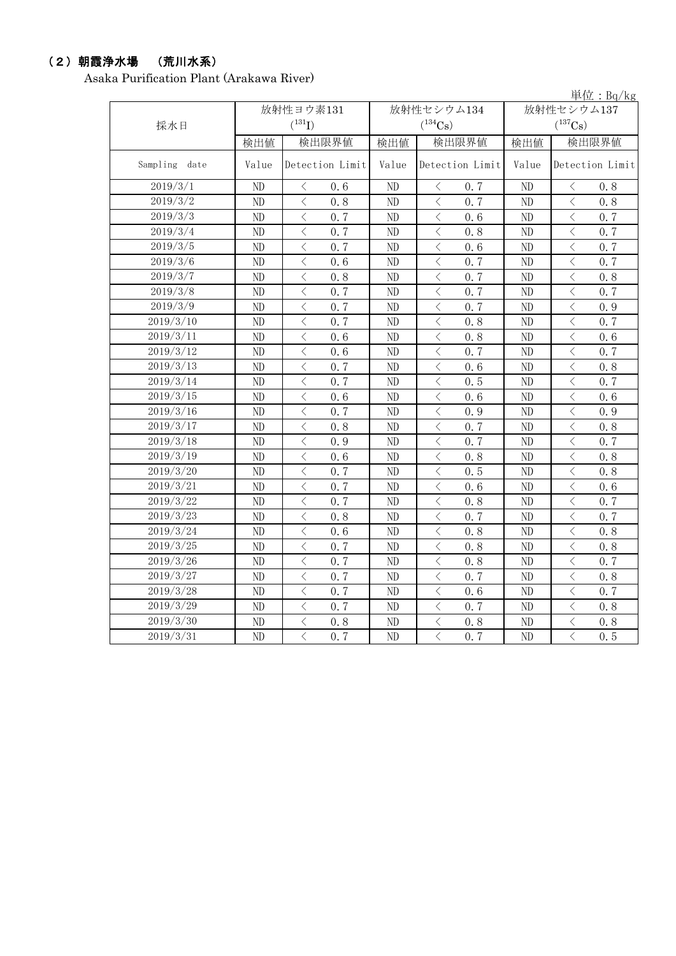### (2)朝霞浄水場 (荒川水系)

Asaka Purification Plant (Arakawa River)

|                       |          |                                                 |       |                       |       | 単位: Bq/kg                                        |
|-----------------------|----------|-------------------------------------------------|-------|-----------------------|-------|--------------------------------------------------|
|                       |          | 放射性ヨウ素131                                       |       | 放射性セシウム134            |       | 放射性セシウム137                                       |
| 採水日                   |          | $(^{131}I)$                                     |       | $(^{134}Cs)$          |       | $(^{137}Cs)$                                     |
|                       | 検出値      | 検出限界値                                           | 検出値   | 検出限界値                 | 検出値   | 検出限界値                                            |
| Sampling date         | Value    | Detection Limit                                 | Value | Detection Limit       | Value | Detection Limit                                  |
| $2019/3/\overline{1}$ | ND       | 0, 6<br>$\langle$                               | ND    | 0, 7<br>$\lt$         | ND    | 0, 8<br>$\langle$                                |
| 2019/3/2              | ND       | $\overline{\left\langle \right\rangle }$<br>0.8 | ND    | $\langle$<br>0, 7     | ND    | $\langle$<br>0.8                                 |
| 2019/3/3              | $\rm ND$ | $\lt$<br>0.7                                    | ND    | $\, <\,$<br>0.6       | ND    | $\langle$<br>0.7                                 |
| 2019/3/4              | ND       | $\langle$<br>0.7                                | ND    | $\,<\,$<br>0.8        | ND    | $\overline{\left\langle \right\rangle }$<br>0.7  |
| 2019/3/5              | ND       | $\overline{\left\langle \right\rangle }$<br>0.7 | ND    | $\,$ $\,$ $\,$<br>0.6 | ND    | $\overline{\left\langle \right\rangle }$<br>0.7  |
| 2019/3/6              | ND       | $\overline{\left\langle \right\rangle }$<br>0.6 | ND    | $\,$ $\,$ $\,$<br>0.7 | ND    | $\overline{\left\langle \right\rangle }$<br>0, 7 |
| 2019/3/7              | ND       | $\overline{\left\langle \right\rangle }$<br>0.8 | ND    | $\,$ $\,$ $\,$<br>0.7 | ND    | $\overline{\left\langle \right\rangle }$<br>0.8  |
| 2019/3/8              | ND       | $\overline{\left\langle \right\rangle }$<br>0.7 | ND    | $\,$ $\,$ $\,$<br>0.7 | ND    | $\langle$<br>0.7                                 |
| 2019/3/9              | ND       | $\langle$<br>0.7                                | ND    | $\,$ $\,$ $\,$<br>0.7 | ND    | $\overline{\left\langle \right\rangle }$<br>0.9  |
| 2019/3/10             | ND       | $\langle$<br>0.7                                | ND    | $\langle$<br>0.8      | ND    | $\langle$<br>0.7                                 |
| 2019/3/11             | ND       | $\overline{\left\langle \right\rangle }$<br>0.6 | ND    | $\langle$<br>0.8      | ND    | $\overline{\left\langle \right\rangle }$<br>0.6  |
| 2019/3/12             | ND       | $\overline{\left\langle \right\rangle }$<br>0.6 | ND    | $\langle$<br>0.7      | ND    | $\langle$<br>0.7                                 |
| 2019/3/13             | ND       | $\overline{\left\langle \right\rangle }$<br>0.7 | ND    | $\langle$<br>0.6      | ND    | $\langle$<br>0.8                                 |
| 2019/3/14             | ND       | $\overline{\left\langle \right\rangle }$<br>0.7 | ND    | $\langle$<br>0.5      | ND    | $\langle$<br>0.7                                 |
| 2019/3/15             | ND       | $\langle$<br>0.6                                | ND    | $\langle$<br>0.6      | ND    | $\langle$<br>0.6                                 |
| 2019/3/16             | ND       | $\overline{\left\langle \right\rangle }$<br>0.7 | ND    | $\langle$<br>0.9      | ND    | $\langle$<br>0.9                                 |
| 2019/3/17             | ND       | $\langle$<br>0.8                                | ND    | $\langle$<br>0, 7     | ND    | $\overline{\left\langle \right\rangle }$<br>0, 8 |
| 2019/3/18             | ND       | $\langle$<br>0.9                                | ND    | $\langle$<br>0, 7     | ND    | $\langle$<br>0, 7                                |
| 2019/3/19             | ND       | $\overline{\left\langle \right\rangle }$<br>0.6 | ND    | $\langle$<br>0.8      | ND    | $\overline{\left\langle \right\rangle }$<br>0, 8 |
| 2019/3/20             | ND       | $\overline{\left\langle \right\rangle }$<br>0.7 | ND    | $\langle$<br>0.5      | ND    | $\langle$<br>0, 8                                |
| 2019/3/21             | ND       | $\overline{\left\langle \right\rangle }$<br>0.7 | ND    | $\lt$<br>0.6          | ND    | $\overline{\left\langle \right\rangle }$<br>0.6  |
| 2019/3/22             | ND       | $\overline{\left\langle \right\rangle }$<br>0.7 | ND    | $\,$ $\,$ $\,$<br>0.8 | ND    | $\langle$<br>0.7                                 |
| 2019/3/23             | ND       | $\langle$<br>0.8                                | ND    | $\,$ $\,$ $\,$<br>0.7 | ND    | $\overline{\left\langle \right\rangle }$<br>0.7  |
| 2019/3/24             | ND       | $\langle$<br>0.6                                | ND    | $\,$ $\,$ $\,$<br>0.8 | ND    | $\,<\,$<br>0.8                                   |
| 2019/3/25             | ND       | $\langle$<br>0.7                                | ND    | $\,$ $\,$ $\,$<br>0.8 | ND    | $\,<\,$<br>0.8                                   |
| 2019/3/26             | ND       | $\langle$<br>0.7                                | ND    | $\lt$<br>0.8          | ND    | $\overline{\left\langle \right\rangle }$<br>0.7  |
| 2019/3/27             | ND       | $\langle$<br>0.7                                | ND    | $\lt$<br>0.7          | ND    | $\overline{\left\langle \right\rangle }$<br>0.8  |
| 2019/3/28             | ND       | $\overline{\left\langle \right\rangle }$<br>0.7 | ND    | $\lt$<br>0.6          | ND    | $\overline{\left\langle \right\rangle }$<br>0.7  |
| 2019/3/29             | ND       | $\langle$<br>0.7                                | ND    | $\lt$<br>0.7          | ND    | $\langle$<br>0.8                                 |
| 2019/3/30             | ND       | $\langle$<br>0.8                                | ND    | $\,$ $\,$ $\,$<br>0.8 | ND    | $\overline{\left\langle \right\rangle }$<br>0.8  |
| 2019/3/31             | ND       | $\langle$<br>0.7                                | ND    | $\langle$<br>0.7      | ND    | $\overline{\left\langle \right\rangle }$<br>0.5  |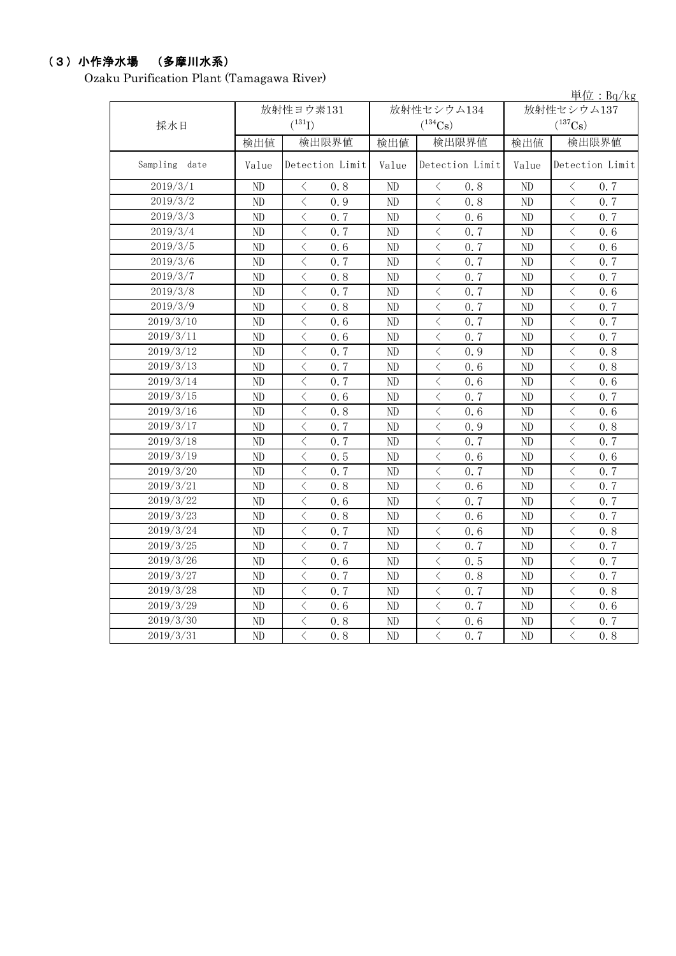# (3)小作浄水場 (多摩川水系)

Ozaku Purification Plant (Tamagawa River)

|               |       |                                                 |       |                                                  |                       | 単位: $Bq/kg$                                      |  |
|---------------|-------|-------------------------------------------------|-------|--------------------------------------------------|-----------------------|--------------------------------------------------|--|
|               |       | 放射性ヨウ素131                                       |       | 放射性セシウム134                                       |                       | 放射性セシウム137                                       |  |
| 採水日           |       | $(^{131}I)$                                     |       | $(^{134}Cs)$                                     | $(^{137}\mathrm{Cs})$ |                                                  |  |
|               | 検出値   | 検出限界値                                           | 検出値   | 検出限界値                                            | 検出値                   | 検出限界値                                            |  |
| Sampling date | Value | Detection Limit                                 | Value | Detection Limit                                  | Value                 | Detection Limit                                  |  |
| 2019/3/1      | ND    | $\lt$<br>0.8                                    | ND    | $\lt$<br>0, 8                                    | $\rm ND$              | $\langle$<br>0, 7                                |  |
| 2019/3/2      | ND    | $\overline{\langle}$<br>0.9                     | ND    | $\langle$<br>0, 8                                | $\rm ND$              | $\overline{\left\langle \right\rangle }$<br>0.7  |  |
| 2019/3/3      | ND    | $\langle$<br>0.7                                | ND    | $\,$ $\,$ $\,$<br>0.6                            | ND                    | $\overline{\left\langle \right\rangle }$<br>0, 7 |  |
| 2019/3/4      | ND    | $\langle$<br>0.7                                | ND    | $\,$ $\,$ $\,$<br>0.7                            | ND                    | $\langle$<br>0, 6                                |  |
| 2019/3/5      | ND    | $\overline{\langle}$<br>0, 6                    | ND    | $\overline{\left\langle \right\rangle }$<br>0, 7 | ND                    | $\overline{\left\langle \right\rangle }$<br>0, 6 |  |
| 2019/3/6      | ND    | $\langle$<br>0.7                                | ND    | $\lt$<br>0.7                                     | ND                    | $\overline{\left\langle \right\rangle }$<br>0, 7 |  |
| 2019/3/7      | ND    | $\langle$<br>0, 8                               | ND    | $\overline{\left\langle \right\rangle }$<br>0.7  | ND                    | $\overline{\left\langle \right\rangle }$<br>0, 7 |  |
| 2019/3/8      | ND    | $\lt$<br>0.7                                    | ND    | $\lt$<br>0.7                                     | ND                    | $\overline{\left\langle \right\rangle }$<br>0.6  |  |
| 2019/3/9      | ND    | $\langle$<br>0.8                                | ND    | $\langle$<br>0.7                                 | ND                    | $\overline{\left\langle \right\rangle }$<br>0.7  |  |
| 2019/3/10     | ND    | $\langle$<br>0.6                                | ND    | $\langle$<br>0.7                                 | ND                    | $\langle$<br>0.7                                 |  |
| 2019/3/11     | ND    | $\langle$<br>0.6                                | ND    | $\langle$<br>0.7                                 | ND                    | $\langle$<br>0.7                                 |  |
| 2019/3/12     | ND    | $\overline{\left\langle \right\rangle }$<br>0.7 | ND    | $\langle$<br>0.9                                 | ND                    | $\langle$<br>0.8                                 |  |
| 2019/3/13     | ND    | $\overline{\left\langle \right\rangle }$<br>0.7 | ND    | $\,$ $\,$ $\,$<br>0.6                            | ND                    | $\langle$<br>0.8                                 |  |
| 2019/3/14     | ND    | $\,$ $\,$ $\,$<br>0.7                           | ND    | $\lt$<br>0.6                                     | ND                    | $\lt$<br>0.6                                     |  |
| 2019/3/15     | ND    | $\,$ $\,$ $\,$<br>0.6                           | ND    | $\langle$<br>0.7                                 | ND                    | $\langle$<br>0.7                                 |  |
| 2019/3/16     | ND    | $\,$ $\,$ $\,$<br>0.8                           | ND    | $\langle$<br>0.6                                 | ND                    | $\langle$<br>0.6                                 |  |
| 2019/3/17     | ND    | $\,$ $\,$ $\,$<br>0.7                           | ND    | $\langle$<br>0.9                                 | ND                    | $\langle$<br>0.8                                 |  |
| 2019/3/18     | ND    | $\langle$<br>0.7                                | ND    | $\lt$<br>0, 7                                    | ND                    | $\,$ $\,$ $\,$<br>0, 7                           |  |
| 2019/3/19     | ND    | $\langle$<br>0.5                                | ND    | $\langle$<br>0, 6                                | ND                    | $\langle$<br>0.6                                 |  |
| 2019/3/20     | ND    | $\langle$<br>0.7                                | ND    | $\overline{\left\langle \right\rangle }$<br>0, 7 | ND                    | $\langle$<br>0.7                                 |  |
| 2019/3/21     | ND    | $\,$ $\,$ $\,$<br>0.8                           | ND    | $\langle$<br>0.6                                 | ND                    | $\overline{\left\langle \right\rangle }$<br>0.7  |  |
| 2019/3/22     | ND    | $\,$ $\,$ $\,$<br>0.6                           | ND    | $\langle$<br>0.7                                 | ND                    | $\langle$<br>0.7                                 |  |
| 2019/3/23     | ND    | $\lt$<br>0.8                                    | ND    | $\langle$<br>0.6                                 | ND                    | $\langle$<br>0.7                                 |  |
| 2019/3/24     | ND    | $\langle$<br>0.7                                | ND    | $\lt$<br>0, 6                                    | ND                    | $\langle$<br>0.8                                 |  |
| 2019/3/25     | ND    | $\langle$<br>0.7                                | ND    | $\langle$<br>0, 7                                | ND                    | $\langle$<br>0, 7                                |  |
| 2019/3/26     | ND    | $\langle$<br>0.6                                | ND    | $\langle$<br>0.5                                 | ND                    | $\langle$<br>0.7                                 |  |
| 2019/3/27     | ND    | $\overline{\langle}$<br>0.7                     | ND    | $\langle$<br>0, 8                                | ND                    | $\langle$<br>0, 7                                |  |
| 2019/3/28     | ND    | $\langle$<br>0.7                                | ND    | $\langle$<br>0.7                                 | ND                    | $\langle$<br>0.8                                 |  |
| 2019/3/29     | ND    | $\langle$<br>0, 6                               | ND    | $\overline{\left\langle \right\rangle }$<br>0, 7 | ND                    | $\overline{\left\langle \right\rangle }$<br>0.6  |  |
| 2019/3/30     | ND    | $\,$ $\,$ $\,$<br>0.8                           | ND    | $\langle$<br>0.6                                 | ND                    | $\langle$<br>0.7                                 |  |
| 2019/3/31     | ND    | $\overline{\langle}$<br>0.8                     | ND    | $\langle$<br>0, 7                                | ND                    | $\overline{\left\langle \right\rangle }$<br>0.8  |  |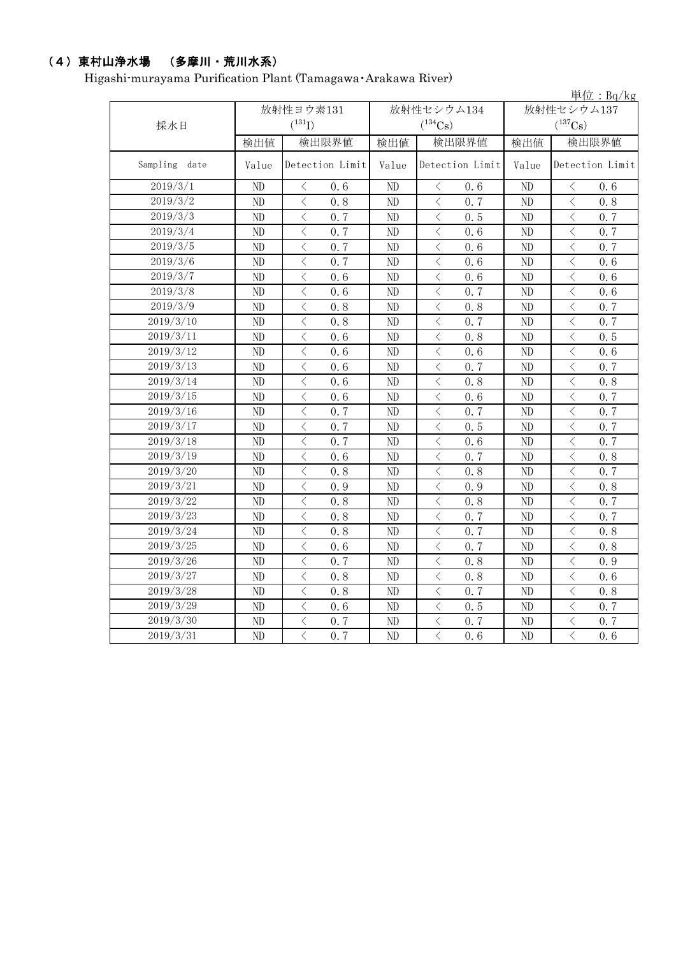# (4)東村山浄水場 (多摩川・荒川水系)

Higashi-murayama Purification Plant (Tamagawa・Arakawa River)

|                       |          |                                                  |    |                                                  |                                     | 単位: Bq/kg                                        |  |
|-----------------------|----------|--------------------------------------------------|----|--------------------------------------------------|-------------------------------------|--------------------------------------------------|--|
| 採水日                   |          | 放射性ヨウ素131<br>$(^{131}I)$                         |    | 放射性セシウム134<br>$(^{134}Cs)$                       | 放射性セシウム137<br>$(^{137}\mathrm{Cs})$ |                                                  |  |
|                       | 検出値      | 検出限界値                                            |    | 検出限界値<br>検出値                                     |                                     | 検出限界値<br>検出値                                     |  |
| Sampling date         | Value    | Detection Limit<br>Value                         |    | Detection Limit                                  | Value                               | Detection Limit                                  |  |
| $2019/3/\overline{1}$ | ND       | $\langle$<br>0, 6                                | ND | $\langle$<br>0, 6                                | ND                                  | $\langle$<br>0, 6                                |  |
| 2019/3/2              | ND       | $\overline{\langle}$<br>0.8                      | ND | $\langle$<br>0, 7                                | ND                                  | $\langle$<br>0.8                                 |  |
| 2019/3/3              | ND       | $\langle$<br>0.7                                 | ND | $\,$ $\,$ $\,$<br>0, 5                           | ND                                  | $\langle$<br>0, 7                                |  |
| 2019/3/4              | $\rm ND$ | $\overline{\left\langle \right\rangle }$<br>0.7  | ND | $\,<\,$<br>0, 6                                  | ND                                  | $\langle$<br>0, 7                                |  |
| 2019/3/5              | $\rm ND$ | $\overline{\left\langle \right\rangle }$<br>0.7  | ND | $\overline{\left\langle \right\rangle }$<br>0, 6 | ND                                  | $\overline{\left\langle \right\rangle }$<br>0, 7 |  |
| 2019/3/6              | ND       | $\overline{\left\langle \right\rangle }$<br>0.7  | ND | $\,<\,$<br>0, 6                                  | ND                                  | $\overline{\left\langle \right\rangle }$<br>0, 6 |  |
| 2019/3/7              | $\rm ND$ | $\overline{\left\langle \right\rangle }$<br>0, 6 | ND | $\overline{\left\langle \right\rangle }$<br>0.6  | ND                                  | $\overline{\left\langle \right\rangle }$<br>0, 6 |  |
| 2019/3/8              | $\rm ND$ | $\langle$<br>0.6                                 | ND | $\lt$<br>0.7                                     | ND                                  | $\overline{\left\langle \right\rangle }$<br>0.6  |  |
| 2019/3/9              | $\rm ND$ | $\langle$<br>0.8                                 | ND | $\langle$<br>0.8                                 | ND                                  | $\langle$<br>0.7                                 |  |
| 2019/3/10             | $\rm ND$ | $\langle$<br>0.8                                 | ND | $\langle$<br>0.7                                 | ND                                  | $\langle$<br>0.7                                 |  |
| 2019/3/11             | $\rm ND$ | $\langle$<br>0.6                                 | ND | $\langle$<br>0.8                                 | ND                                  | $\langle$<br>0.5                                 |  |
| 2019/3/12             | $\rm ND$ | $\langle$<br>0.6                                 | ND | $\langle$<br>0.6                                 | ND                                  | $\lt$<br>0.6                                     |  |
| 2019/3/13             | $\rm ND$ | $\,$ $\,$ $\,$<br>0.6                            | ND | $\,$ $\,$ $\,$<br>0.7                            | ND                                  | $\lt$<br>0.7                                     |  |
| 2019/3/14             | $\rm ND$ | $\lt$<br>0.6                                     | ND | $\lt$<br>0.8                                     | ND                                  | $\lt$<br>0.8                                     |  |
| 2019/3/15             | $\rm ND$ | $\overline{\left\langle \right\rangle }$<br>0.6  | ND | $\,$ $\,$ $\,$<br>0.6                            | ND                                  | $\langle$<br>0.7                                 |  |
| 2019/3/16             | $\rm ND$ | $\overline{\left\langle \right\rangle }$<br>0.7  | ND | $\,$ $\,$ $\,$<br>0.7                            | ND                                  | $\langle$<br>0.7                                 |  |
| 2019/3/17             | $\rm ND$ | $\overline{\left\langle \right\rangle }$<br>0.7  | ND | $\,$ $\,$ $\,$<br>0.5                            | ND                                  | $\lt$<br>0.7                                     |  |
| 2019/3/18             | ND       | $\overline{\left\langle \right\rangle }$<br>0.7  | ND | $\,<\,$<br>0.6                                   | ND                                  | $\lt$<br>0, 7                                    |  |
| 2019/3/19             | $\rm ND$ | $\overline{\left\langle \right\rangle }$<br>0, 6 | ND | $\,$ $\,$ $\,$<br>0, 7                           | ND                                  | $\langle$<br>0.8                                 |  |
| 2019/3/20             | $\rm ND$ | $\overline{\left\langle \right\rangle }$<br>0.8  | ND | $\,$ $\,$ $\,$<br>0, 8                           | ND                                  | $\langle$<br>0, 7                                |  |
| 2019/3/21             | $\rm ND$ | $\overline{\left\langle \right\rangle }$<br>0.9  | ND | $\lt$<br>0.9                                     | ND                                  | $\langle$<br>0.8                                 |  |
| 2019/3/22             | $\rm ND$ | $\langle$<br>0.8                                 | ND | $\lt$<br>0.8                                     | ND                                  | $\langle$<br>0, 7                                |  |
| 2019/3/23             | $\rm ND$ | $\overline{\left\langle \right\rangle }$<br>0.8  | ND | $\lt$<br>0.7                                     | ND                                  | $\langle$<br>0, 7                                |  |
| 2019/3/24             | $\rm ND$ | $\overline{\left\langle \right\rangle }$<br>0.8  | ND | $\langle$<br>0.7                                 | ND                                  | $\lt$<br>0.8                                     |  |
| 2019/3/25             | ND       | $\langle$<br>0.6                                 | ND | $\langle$<br>0.7                                 | ND                                  | $\langle$<br>0.8                                 |  |
| 2019/3/26             | ND       | $\overline{\left\langle \right\rangle }$<br>0.7  | ND | $\lt$<br>0.8                                     | ND                                  | $\lt$<br>0.9                                     |  |
| 2019/3/27             | ND       | $\langle$<br>0.8                                 | ND | $\lt$<br>0.8                                     | ND                                  | $\langle$<br>0.6                                 |  |
| 2019/3/28             | $\rm ND$ | $\langle$<br>0.8                                 | ND | $\langle$<br>0.7                                 | ND                                  | $\langle$<br>0.8                                 |  |
| 2019/3/29             | $\rm ND$ | $\lt$<br>0.6                                     | ND | $\,<\,$<br>0.5                                   | ND                                  | $\lt$<br>0.7                                     |  |
| 2019/3/30             | ND       | $\lt$<br>0.7                                     | ND | $\,$ $\,$ $\,$<br>0.7                            | ND                                  | $\,$ $\,$ $\,$<br>0.7                            |  |
| 2019/3/31             | $\rm ND$ | $\overline{\langle}$<br>0.7                      | ND | $\langle$<br>0, 6                                | $\rm ND$                            | $\langle$<br>0.6                                 |  |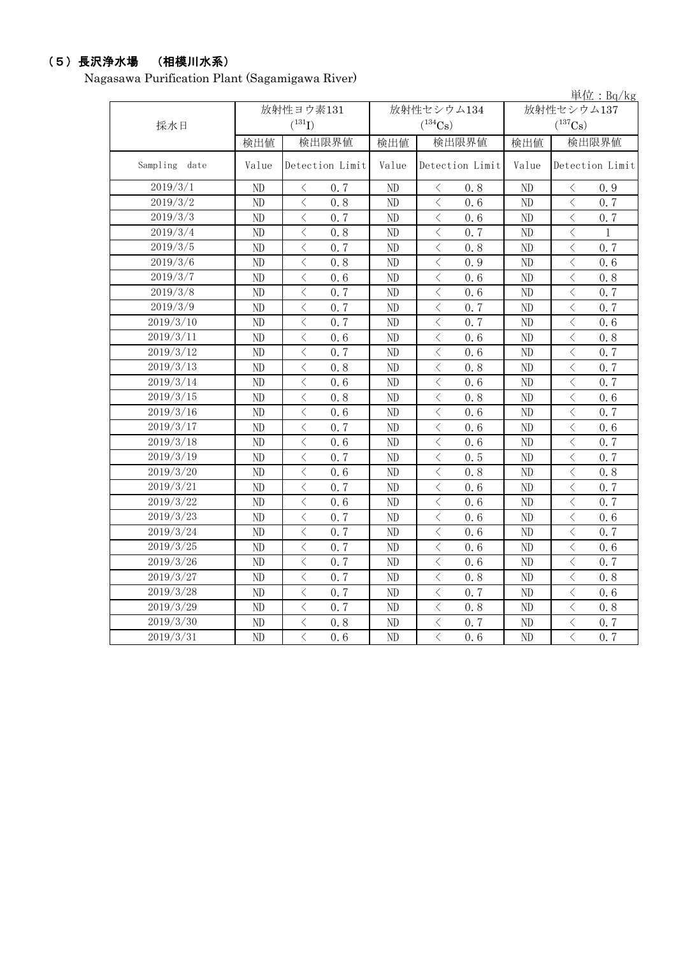# (5)長沢浄水場 (相模川水系)

Nagasawa Purification Plant (Sagamigawa River)

|                       |       |                                                  |                          |                              |                       | 単位: $Bq/kg$                                      |
|-----------------------|-------|--------------------------------------------------|--------------------------|------------------------------|-----------------------|--------------------------------------------------|
|                       |       | 放射性ヨウ素131                                        |                          | 放射性セシウム134                   |                       | 放射性セシウム137                                       |
| 採水日                   |       | $(^{131}I)$                                      |                          | $(^{134}Cs)$                 | $(^{137}\mathrm{Cs})$ |                                                  |
|                       | 検出値   | 検出限界値                                            | 検出値                      | 検出限界値                        | 検出値                   | 検出限界値                                            |
| Sampling date         | Value | Detection Limit                                  | Value<br>Detection Limit |                              | Value                 | Detection Limit                                  |
| 2019/3/1              | ND    | $\langle$<br>0.7                                 | ND                       | 0.8<br>$\langle$             | ND                    | 0.9<br>ぐ                                         |
| 2019/3/2              | ND    | $\langle$<br>0.8                                 | ND                       | $\,$ $\,$ $\,$<br>0.6        | ND                    | $\overline{\left\langle \right\rangle }$<br>0.7  |
| $2019/3/\overline{3}$ | ND    | $\lt$<br>0.7                                     | ND                       | $\,<\,$<br>0.6               | ND                    | $\langle$<br>0.7                                 |
| 2019/3/4              | ND    | $\langle$<br>0.8                                 | ND                       | $\,<\,$<br>0.7               | ND                    | $\langle$<br>$\mathbf{1}$                        |
| 2019/3/5              | ND    | $\lt$<br>0.7                                     | ND                       | $\,<\,$<br>0.8               | ND                    | $\langle$<br>0.7                                 |
| 2019/3/6              | ND    | $\langle$<br>0.8                                 | ND                       | $\,<\,$<br>0.9               | ND                    | $\overline{\left\langle \right\rangle }$<br>0, 6 |
| 2019/3/7              | ND    | $\langle$<br>0, 6                                | ND                       | $\lt$<br>0, 6                | ND                    | $\langle$<br>0, 8                                |
| 2019/3/8              | ND    | $\langle$<br>0.7                                 | ND                       | $\lt$<br>0, 6                | ND                    | $\overline{\left\langle \right\rangle }$<br>0, 7 |
| 2019/3/9              | ND    | $\overline{\left\langle \right\rangle }$<br>0.7  | ND                       | $\langle$<br>0.7             | ND                    | $\overline{\left\langle \right\rangle }$<br>0, 7 |
| 2019/3/10             | ND    | $\overline{\left\langle \right\rangle }$<br>0, 7 | ND                       | $\lt$<br>0.7                 | ND                    | $\overline{\left\langle \right\rangle }$<br>0, 6 |
| 2019/3/11             | ND    | $\overline{\left\langle \right\rangle }$<br>0.6  | ND                       | $\,$ $\,$ $\,$<br>0.6        | ND                    | $\overline{\left\langle \right\rangle }$<br>0.8  |
| 2019/3/12             | ND    | $\overline{\left\langle \right\rangle }$<br>0.7  | ND                       | $\,<\,$<br>0, 6              | ND                    | $\overline{\left\langle \right\rangle }$<br>0, 7 |
| 2019/3/13             | ND    | $\overline{\left\langle \right\rangle }$<br>0.8  | ND                       | $\, < \,$<br>0.8             | ND                    | $\overline{\left\langle \right\rangle }$<br>0.7  |
| 2019/3/14             | ND    | $\lt$<br>0.6                                     | ND                       | $\, < \,$<br>0.6             | ND                    | $\langle$<br>0.7                                 |
| 2019/3/15             | ND    | $\lt$<br>0.8                                     | ND                       | $\,$ $\,$ $\,$<br>0.8        | ND                    | $\langle$<br>0.6                                 |
| 2019/3/16             | ND    | $\langle$<br>0.6                                 | ND                       | $\,$ $\,$ $\,$<br>0.6        | ND                    | $\langle$<br>0.7                                 |
| 2019/3/17             | ND    | $\lt$<br>0.7                                     | ND                       | $\, <\,$<br>0.6              | ND                    | $\langle$<br>0.6                                 |
| 2019/3/18             | ND    | $\lt$<br>0.6                                     | ND                       | $\langle$<br>0.6             | ND                    | $\langle$<br>0.7                                 |
| 2019/3/19             | ND    | $\overline{\left\langle \right\rangle }$<br>0.7  | ND                       | $\,$ $\,$ $\,$<br>0.5        | ND                    | $\langle$<br>0.7                                 |
| 2019/3/20             | ND    | $\overline{\left\langle \right\rangle }$<br>0.6  | ND                       | $\,<\,$<br>0.8               | ND                    | $\langle$<br>0.8                                 |
| 2019/3/21             | ND    | $\langle$<br>0.7                                 | ND                       | $\langle$<br>0.6             | ND                    | $\langle$<br>0.7                                 |
| 2019/3/22             | ND    | $\overline{\left\langle \right\rangle }$<br>0.6  | ND                       | $\,$ $\,$ $\,$<br>0.6        | ND                    | $\langle$<br>0.7                                 |
| 2019/3/23             | ND    | $\overline{\left\langle \right\rangle }$<br>0.7  | ND                       | $\langle$<br>0.6             | ND                    | $\langle$<br>0.6                                 |
| 2019/3/24             | ND    | $\langle$<br>0.7                                 | ND                       | $\langle$<br>0, 6            | N <sub>D</sub>        | $\langle$<br>0, 7                                |
| 2019/3/25             | ND    | $\langle$<br>0.7                                 | ND                       | $\langle$<br>0.6             | ND                    | $\langle$<br>0.6                                 |
| 2019/3/26             | ND    | $\overline{\left\langle \right\rangle }$<br>0.7  | ND                       | $\lt$<br>0.6                 | ND                    | $\langle$<br>0.7                                 |
| 2019/3/27             | ND    | $\langle$<br>0.7                                 | ND                       | $\,<\,$<br>0.8               | ND                    | $\langle$<br>0.8                                 |
| 2019/3/28             | ND    | $\langle$<br>0.7                                 | ND                       | $\,<\,$<br>0.7               | ND                    | $\langle$<br>0.6                                 |
| 2019/3/29             | ND    | $\lt$<br>0.7                                     | ND                       | $\lt$<br>0.8                 | ND                    | $\lt$<br>0.8                                     |
| 2019/3/30             | ND    | $\, <\,$<br>0.8                                  | ND                       | $\,<\,$<br>0.7               | ND                    | $\langle$<br>0.7                                 |
| 2019/3/31             | ND    | $\overline{\langle}$<br>0.6                      | ND                       | $\overline{\langle}$<br>0, 6 | ND                    | $\overline{\left\langle \right\rangle }$<br>0, 7 |